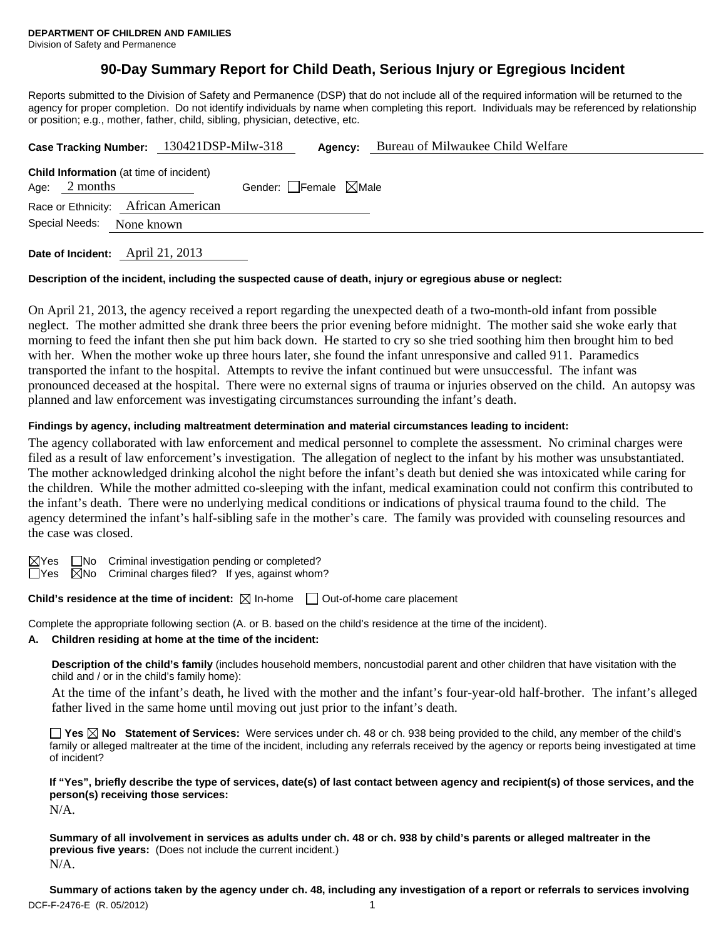# **90-Day Summary Report for Child Death, Serious Injury or Egregious Incident**

Reports submitted to the Division of Safety and Permanence (DSP) that do not include all of the required information will be returned to the agency for proper completion. Do not identify individuals by name when completing this report. Individuals may be referenced by relationship or position; e.g., mother, father, child, sibling, physician, detective, etc.

|                 |                                                | Case Tracking Number: 130421DSP-Milw-318 |                                 | Agency: | Bureau of Milwaukee Child Welfare |
|-----------------|------------------------------------------------|------------------------------------------|---------------------------------|---------|-----------------------------------|
| Age: $2$ months | <b>Child Information</b> (at time of incident) |                                          | Gender: Female $\boxtimes$ Male |         |                                   |
|                 | Race or Ethnicity: African American            |                                          |                                 |         |                                   |
| Special Needs:  | None known                                     |                                          |                                 |         |                                   |
|                 |                                                |                                          |                                 |         |                                   |

**Date of Incident:** April 21, 2013

#### **Description of the incident, including the suspected cause of death, injury or egregious abuse or neglect:**

On April 21, 2013, the agency received a report regarding the unexpected death of a two-month-old infant from possible neglect. The mother admitted she drank three beers the prior evening before midnight. The mother said she woke early that morning to feed the infant then she put him back down. He started to cry so she tried soothing him then brought him to bed with her. When the mother woke up three hours later, she found the infant unresponsive and called 911. Paramedics transported the infant to the hospital. Attempts to revive the infant continued but were unsuccessful. The infant was pronounced deceased at the hospital. There were no external signs of trauma or injuries observed on the child. An autopsy was planned and law enforcement was investigating circumstances surrounding the infant's death.

#### **Findings by agency, including maltreatment determination and material circumstances leading to incident:**

The agency collaborated with law enforcement and medical personnel to complete the assessment. No criminal charges were filed as a result of law enforcement's investigation. The allegation of neglect to the infant by his mother was unsubstantiated. The mother acknowledged drinking alcohol the night before the infant's death but denied she was intoxicated while caring for the children. While the mother admitted co-sleeping with the infant, medical examination could not confirm this contributed to the infant's death. There were no underlying medical conditions or indications of physical trauma found to the child. The agency determined the infant's half-sibling safe in the mother's care. The family was provided with counseling resources and the case was closed.

 $\boxtimes$ Yes  $\Box$ No Criminal investigation pending or completed?

 $\Box$ Yes  $\Box$ No Criminal charges filed? If yes, against whom?

**Child's residence at the time of incident:** ⊠ In-home □ Out-of-home care placement

Complete the appropriate following section (A. or B. based on the child's residence at the time of the incident).

# **A. Children residing at home at the time of the incident:**

**Description of the child's family** (includes household members, noncustodial parent and other children that have visitation with the child and / or in the child's family home):

 At the time of the infant's death, he lived with the mother and the infant's four-year-old half-brother. The infant's alleged father lived in the same home until moving out just prior to the infant's death.

**Yes No Statement of Services:** Were services under ch. 48 or ch. 938 being provided to the child, any member of the child's family or alleged maltreater at the time of the incident, including any referrals received by the agency or reports being investigated at time of incident?

**If "Yes", briefly describe the type of services, date(s) of last contact between agency and recipient(s) of those services, and the person(s) receiving those services:** 

N/A.

**Summary of all involvement in services as adults under ch. 48 or ch. 938 by child's parents or alleged maltreater in the previous five years:** (Does not include the current incident.) N/A.

DCF-F-2476-E (R. 05/2012) 1 **Summary of actions taken by the agency under ch. 48, including any investigation of a report or referrals to services involving**